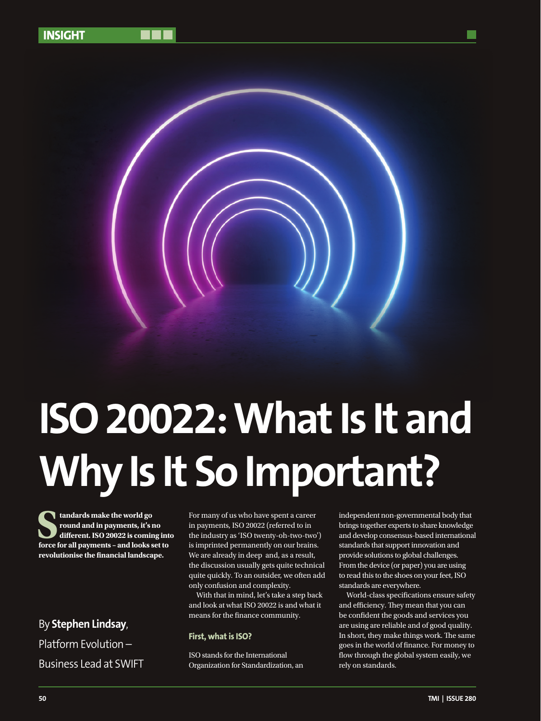

# **ISO 20022: What Is It and Why Is It So Important?**

**Standards make the world go round and in payments, it's no different. ISO 20022 is coming into force for all payments – and looks set to revolutionise the financial landscape.** 

By **Stephen Lindsay**, Platform Evolution – Business Lead at SWIFT

For many of us who have spent a career in payments, ISO 20022 (referred to in the industry as 'ISO twenty-oh-two-two') is imprinted permanently on our brains. We are already in deep and, as a result, the discussion usually gets quite technical quite quickly. To an outsider, we often add only confusion and complexity.

With that in mind, let's take a step back and look at what ISO 20022 is and what it means for the finance community.

# **First, what is ISO?**

ISO stands for the International Organization for Standardization, an independent non-governmental body that brings together experts to share knowledge and develop consensus-based international standards that support innovation and provide solutions to global challenges. From the device (or paper) you are using to read this to the shoes on your feet, ISO standards are everywhere.

World-class specifications ensure safety and efficiency. They mean that you can be confident the goods and services you are using are reliable and of good quality. In short, they make things work. The same goes in the world of finance. For money to flow through the global system easily, we rely on standards.